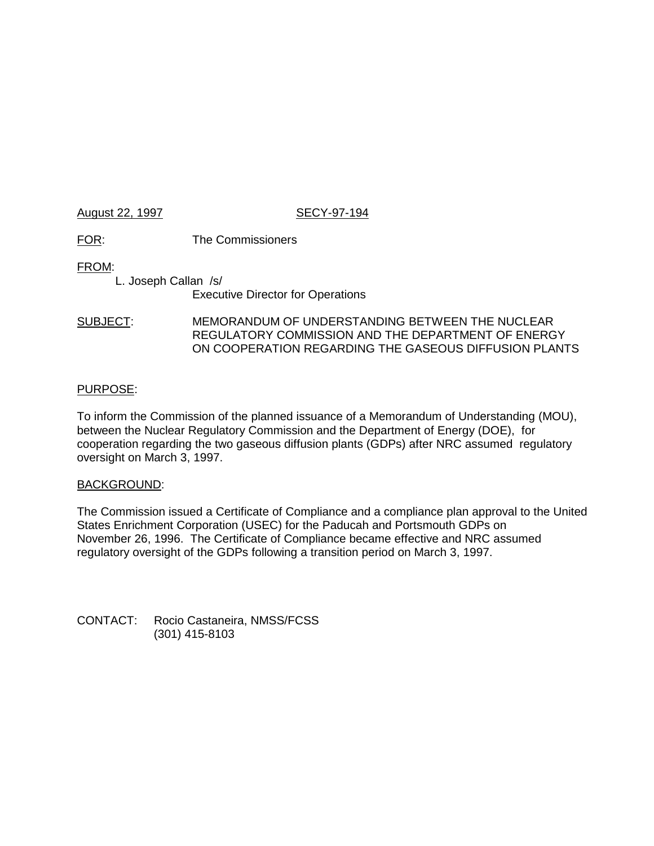### August 22, 1997 **SECY-97-194**

FOR: The Commissioners

FROM:

L. Joseph Callan /s/ Executive Director for Operations

# SUBJECT: MEMORANDUM OF UNDERSTANDING BETWEEN THE NUCLEAR REGULATORY COMMISSION AND THE DEPARTMENT OF ENERGY ON COOPERATION REGARDING THE GASEOUS DIFFUSION PLANTS

## PURPOSE:

To inform the Commission of the planned issuance of a Memorandum of Understanding (MOU), between the Nuclear Regulatory Commission and the Department of Energy (DOE), for cooperation regarding the two gaseous diffusion plants (GDPs) after NRC assumed regulatory oversight on March 3, 1997.

#### BACKGROUND:

The Commission issued a Certificate of Compliance and a compliance plan approval to the United States Enrichment Corporation (USEC) for the Paducah and Portsmouth GDPs on November 26, 1996. The Certificate of Compliance became effective and NRC assumed regulatory oversight of the GDPs following a transition period on March 3, 1997.

CONTACT: Rocio Castaneira, NMSS/FCSS (301) 415-8103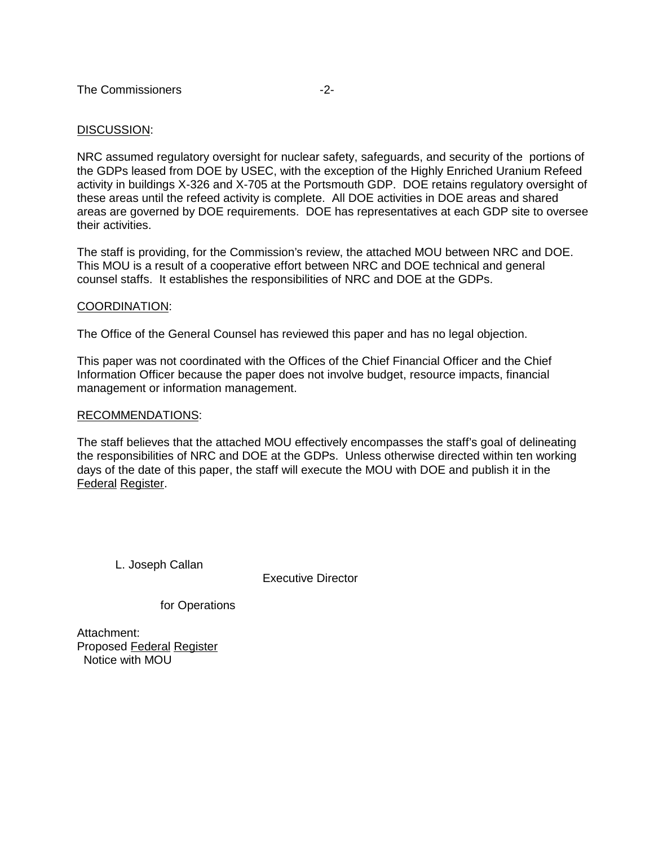#### DISCUSSION:

NRC assumed regulatory oversight for nuclear safety, safeguards, and security of the portions of the GDPs leased from DOE by USEC, with the exception of the Highly Enriched Uranium Refeed activity in buildings X-326 and X-705 at the Portsmouth GDP. DOE retains regulatory oversight of these areas until the refeed activity is complete. All DOE activities in DOE areas and shared areas are governed by DOE requirements. DOE has representatives at each GDP site to oversee their activities.

The staff is providing, for the Commission's review, the attached MOU between NRC and DOE. This MOU is a result of a cooperative effort between NRC and DOE technical and general counsel staffs. It establishes the responsibilities of NRC and DOE at the GDPs.

#### COORDINATION:

The Office of the General Counsel has reviewed this paper and has no legal objection.

This paper was not coordinated with the Offices of the Chief Financial Officer and the Chief Information Officer because the paper does not involve budget, resource impacts, financial management or information management.

#### RECOMMENDATIONS:

The staff believes that the attached MOU effectively encompasses the staff's goal of delineating the responsibilities of NRC and DOE at the GDPs. Unless otherwise directed within ten working days of the date of this paper, the staff will execute the MOU with DOE and publish it in the Federal Register.

L. Joseph Callan

Executive Director

for Operations

Attachment: Proposed Federal Register Notice with MOU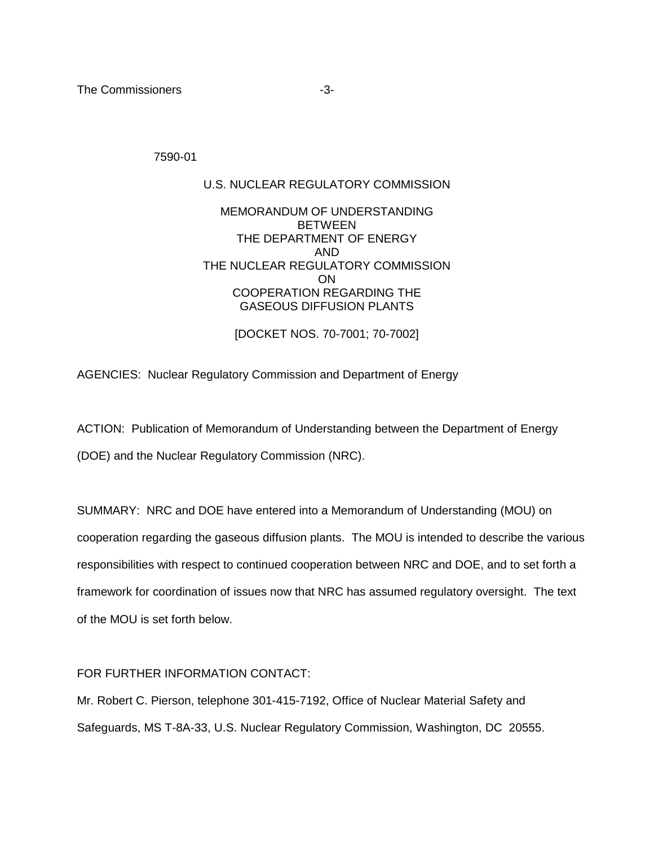The Commissioners and the Commissioners of the state of the state of the state of the state of the state of the state of the state of the state of the state of the state of the state of the state of the state of the state

7590-01

# U.S. NUCLEAR REGULATORY COMMISSION

# MEMORANDUM OF UNDERSTANDING **BETWEEN** THE DEPARTMENT OF ENERGY AND THE NUCLEAR REGULATORY COMMISSION ON COOPERATION REGARDING THE GASEOUS DIFFUSION PLANTS

[DOCKET NOS. 70-7001; 70-7002]

AGENCIES: Nuclear Regulatory Commission and Department of Energy

ACTION: Publication of Memorandum of Understanding between the Department of Energy (DOE) and the Nuclear Regulatory Commission (NRC).

SUMMARY: NRC and DOE have entered into a Memorandum of Understanding (MOU) on cooperation regarding the gaseous diffusion plants. The MOU is intended to describe the various responsibilities with respect to continued cooperation between NRC and DOE, and to set forth a framework for coordination of issues now that NRC has assumed regulatory oversight. The text of the MOU is set forth below.

#### FOR FURTHER INFORMATION CONTACT:

Mr. Robert C. Pierson, telephone 301-415-7192, Office of Nuclear Material Safety and Safeguards, MS T-8A-33, U.S. Nuclear Regulatory Commission, Washington, DC 20555.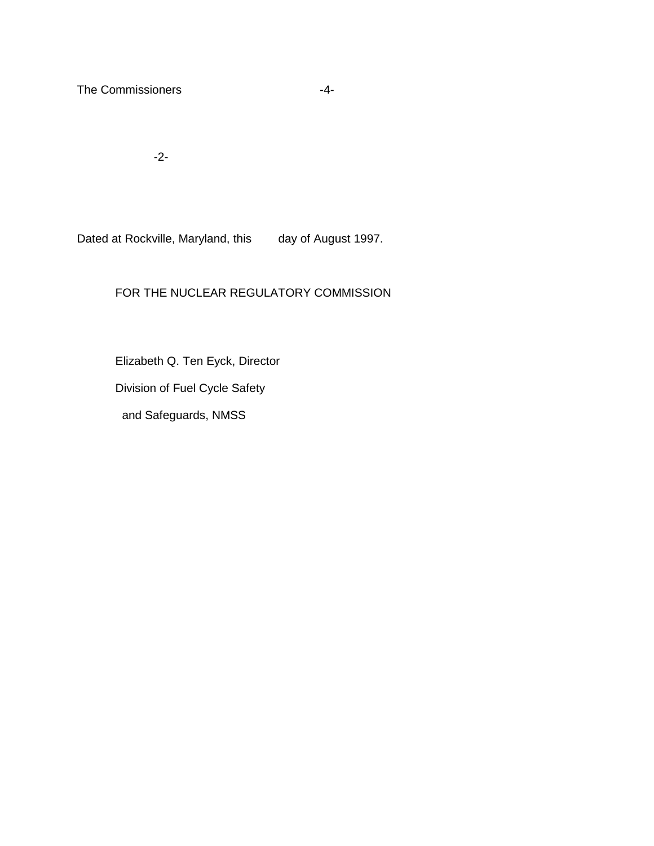The Commissioners **-4-**

-2-

Dated at Rockville, Maryland, this day of August 1997.

# FOR THE NUCLEAR REGULATORY COMMISSION

Elizabeth Q. Ten Eyck, Director

Division of Fuel Cycle Safety

and Safeguards, NMSS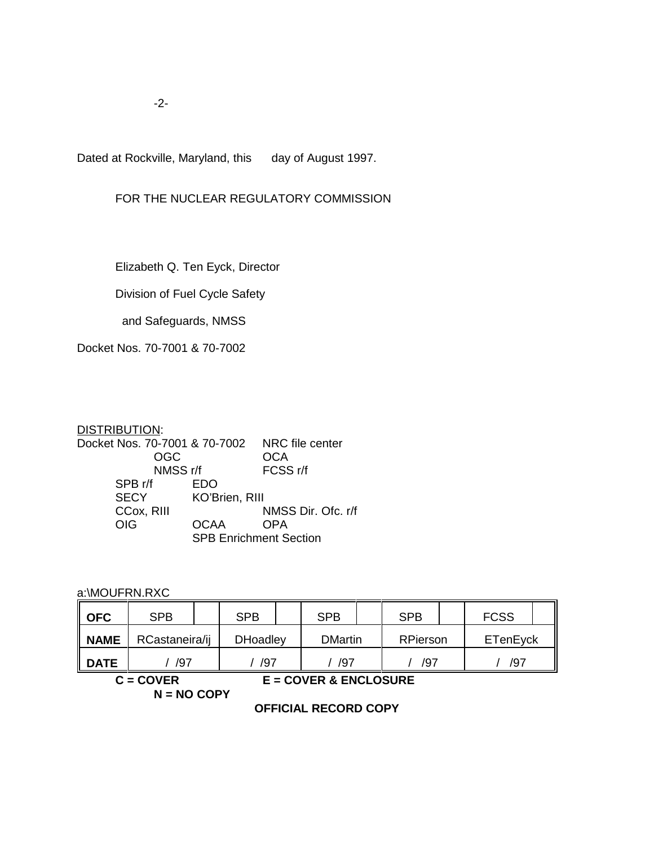-2-

Dated at Rockville, Maryland, this day of August 1997.

# FOR THE NUCLEAR REGULATORY COMMISSION

Elizabeth Q. Ten Eyck, Director

Division of Fuel Cycle Safety

and Safeguards, NMSS

Docket Nos. 70-7001 & 70-7002

#### DISTRIBUTION: Docket Nos. 70-7001 & 70-7002 NRC file center OGC OCA<br>
NMSS r/f FCSS r/f NMSS r/f<br>f EDO  $SPB$  r/f SECY KO'Brien, RIII<br>CCox, RIII M CCox, RIII MMSS Dir. Ofc. r/f<br>OIG OCAA OPA OCAA SPB Enrichment Section

a:\MOUFRN.RXC

| $\parallel$ OFC | <b>SPB</b>     |  | <b>SPB</b>      |  | <b>SPB</b>     |  | <b>SPB</b>      |  | <b>FCSS</b> |  |
|-----------------|----------------|--|-----------------|--|----------------|--|-----------------|--|-------------|--|
| <b>NAME</b>     | RCastaneira/ij |  | <b>DHoadley</b> |  | <b>DMartin</b> |  | <b>RPierson</b> |  | ETenEyck    |  |
| <b>II DATE</b>  | /97            |  | /97             |  | /97            |  | /97             |  | /97         |  |
| C – COVER       |                |  |                 |  |                |  |                 |  |             |  |

**N = NO COPY**

**C = COVER E = COVER & ENCLOSURE**

**OFFICIAL RECORD COPY**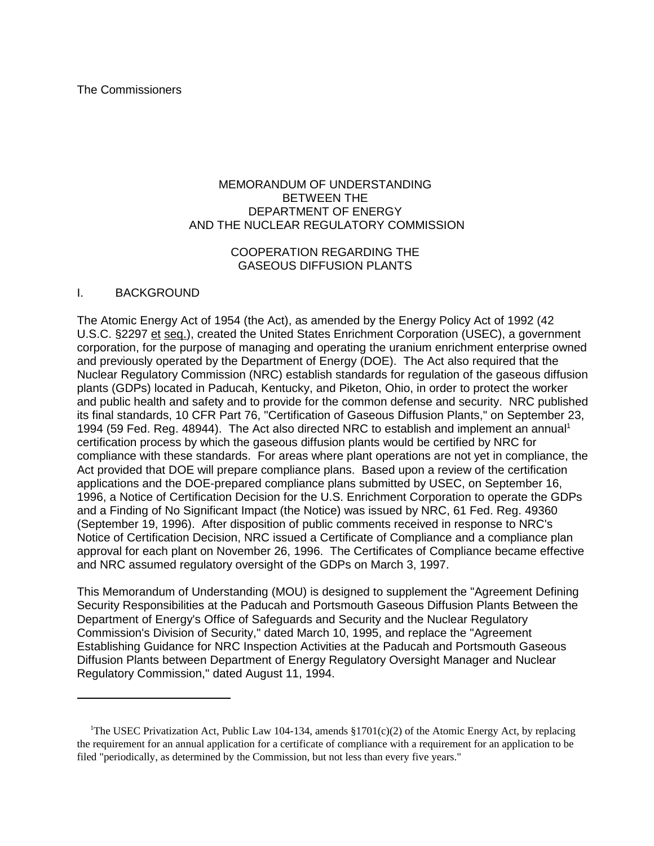#### MEMORANDUM OF UNDERSTANDING BETWEEN THE DEPARTMENT OF ENERGY AND THE NUCLEAR REGULATORY COMMISSION

#### COOPERATION REGARDING THE GASEOUS DIFFUSION PLANTS

#### I. BACKGROUND

The Atomic Energy Act of 1954 (the Act), as amended by the Energy Policy Act of 1992 (42 U.S.C. §2297 et seq.), created the United States Enrichment Corporation (USEC), a government corporation, for the purpose of managing and operating the uranium enrichment enterprise owned and previously operated by the Department of Energy (DOE). The Act also required that the Nuclear Regulatory Commission (NRC) establish standards for regulation of the gaseous diffusion plants (GDPs) located in Paducah, Kentucky, and Piketon, Ohio, in order to protect the worker and public health and safety and to provide for the common defense and security. NRC published its final standards, 10 CFR Part 76, "Certification of Gaseous Diffusion Plants," on September 23, 1994 (59 Fed. Reg. 48944). The Act also directed NRC to establish and implement an annual<sup>1</sup> certification process by which the gaseous diffusion plants would be certified by NRC for compliance with these standards. For areas where plant operations are not yet in compliance, the Act provided that DOE will prepare compliance plans. Based upon a review of the certification applications and the DOE-prepared compliance plans submitted by USEC, on September 16, 1996, a Notice of Certification Decision for the U.S. Enrichment Corporation to operate the GDPs and a Finding of No Significant Impact (the Notice) was issued by NRC, 61 Fed. Reg. 49360 (September 19, 1996). After disposition of public comments received in response to NRC's Notice of Certification Decision, NRC issued a Certificate of Compliance and a compliance plan approval for each plant on November 26, 1996. The Certificates of Compliance became effective and NRC assumed regulatory oversight of the GDPs on March 3, 1997.

This Memorandum of Understanding (MOU) is designed to supplement the "Agreement Defining Security Responsibilities at the Paducah and Portsmouth Gaseous Diffusion Plants Between the Department of Energy's Office of Safeguards and Security and the Nuclear Regulatory Commission's Division of Security," dated March 10, 1995, and replace the "Agreement Establishing Guidance for NRC Inspection Activities at the Paducah and Portsmouth Gaseous Diffusion Plants between Department of Energy Regulatory Oversight Manager and Nuclear Regulatory Commission," dated August 11, 1994.

<sup>&</sup>lt;sup>1</sup>The USEC Privatization Act, Public Law 104-134, amends  $$1701(c)(2)$  of the Atomic Energy Act, by replacing the requirement for an annual application for a certificate of compliance with a requirement for an application to be filed "periodically, as determined by the Commission, but not less than every five years."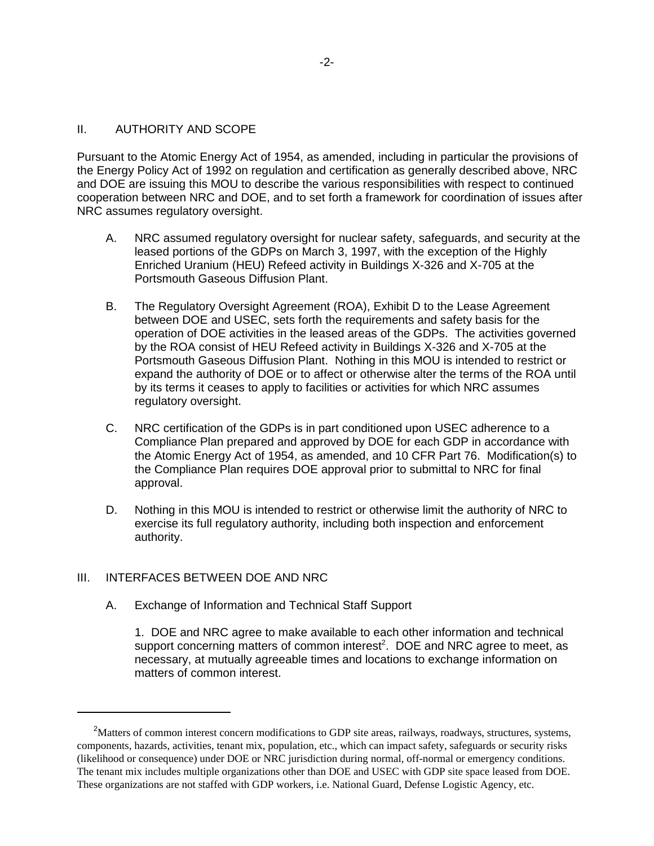#### II. AUTHORITY AND SCOPE

Pursuant to the Atomic Energy Act of 1954, as amended, including in particular the provisions of the Energy Policy Act of 1992 on regulation and certification as generally described above, NRC and DOE are issuing this MOU to describe the various responsibilities with respect to continued cooperation between NRC and DOE, and to set forth a framework for coordination of issues after NRC assumes regulatory oversight.

- A. NRC assumed regulatory oversight for nuclear safety, safeguards, and security at the leased portions of the GDPs on March 3, 1997, with the exception of the Highly Enriched Uranium (HEU) Refeed activity in Buildings X-326 and X-705 at the Portsmouth Gaseous Diffusion Plant.
- B. The Regulatory Oversight Agreement (ROA), Exhibit D to the Lease Agreement between DOE and USEC, sets forth the requirements and safety basis for the operation of DOE activities in the leased areas of the GDPs. The activities governed by the ROA consist of HEU Refeed activity in Buildings X-326 and X-705 at the Portsmouth Gaseous Diffusion Plant. Nothing in this MOU is intended to restrict or expand the authority of DOE or to affect or otherwise alter the terms of the ROA until by its terms it ceases to apply to facilities or activities for which NRC assumes regulatory oversight.
- C. NRC certification of the GDPs is in part conditioned upon USEC adherence to a Compliance Plan prepared and approved by DOE for each GDP in accordance with the Atomic Energy Act of 1954, as amended, and 10 CFR Part 76. Modification(s) to the Compliance Plan requires DOE approval prior to submittal to NRC for final approval.
- D. Nothing in this MOU is intended to restrict or otherwise limit the authority of NRC to exercise its full regulatory authority, including both inspection and enforcement authority.

#### III. INTERFACES BETWEEN DOE AND NRC

A. Exchange of Information and Technical Staff Support

1. DOE and NRC agree to make available to each other information and technical support concerning matters of common interest<sup>2</sup>. DOE and NRC agree to meet, as necessary, at mutually agreeable times and locations to exchange information on matters of common interest.

<sup>&</sup>lt;sup>2</sup>Matters of common interest concern modifications to GDP site areas, railways, roadways, structures, systems, components, hazards, activities, tenant mix, population, etc., which can impact safety, safeguards or security risks (likelihood or consequence) under DOE or NRC jurisdiction during normal, off-normal or emergency conditions. The tenant mix includes multiple organizations other than DOE and USEC with GDP site space leased from DOE. These organizations are not staffed with GDP workers, i.e. National Guard, Defense Logistic Agency, etc.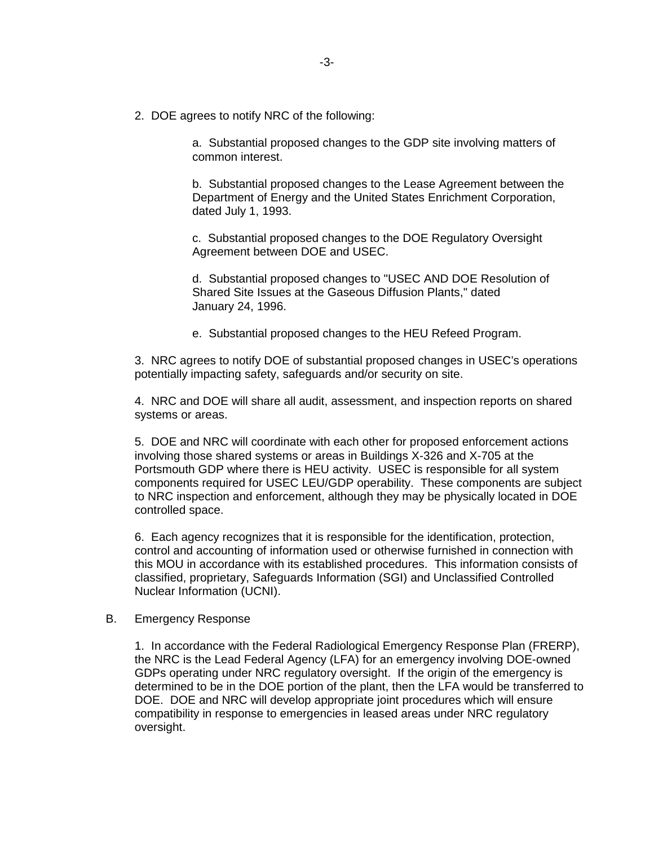2. DOE agrees to notify NRC of the following:

a. Substantial proposed changes to the GDP site involving matters of common interest.

b. Substantial proposed changes to the Lease Agreement between the Department of Energy and the United States Enrichment Corporation, dated July 1, 1993.

c. Substantial proposed changes to the DOE Regulatory Oversight Agreement between DOE and USEC.

d. Substantial proposed changes to "USEC AND DOE Resolution of Shared Site Issues at the Gaseous Diffusion Plants," dated January 24, 1996.

e. Substantial proposed changes to the HEU Refeed Program.

3. NRC agrees to notify DOE of substantial proposed changes in USEC's operations potentially impacting safety, safeguards and/or security on site.

4. NRC and DOE will share all audit, assessment, and inspection reports on shared systems or areas.

5. DOE and NRC will coordinate with each other for proposed enforcement actions involving those shared systems or areas in Buildings X-326 and X-705 at the Portsmouth GDP where there is HEU activity. USEC is responsible for all system components required for USEC LEU/GDP operability. These components are subject to NRC inspection and enforcement, although they may be physically located in DOE controlled space.

6. Each agency recognizes that it is responsible for the identification, protection, control and accounting of information used or otherwise furnished in connection with this MOU in accordance with its established procedures. This information consists of classified, proprietary, Safeguards Information (SGI) and Unclassified Controlled Nuclear Information (UCNI).

#### B. Emergency Response

1. In accordance with the Federal Radiological Emergency Response Plan (FRERP), the NRC is the Lead Federal Agency (LFA) for an emergency involving DOE-owned GDPs operating under NRC regulatory oversight. If the origin of the emergency is determined to be in the DOE portion of the plant, then the LFA would be transferred to DOE. DOE and NRC will develop appropriate joint procedures which will ensure compatibility in response to emergencies in leased areas under NRC regulatory oversight.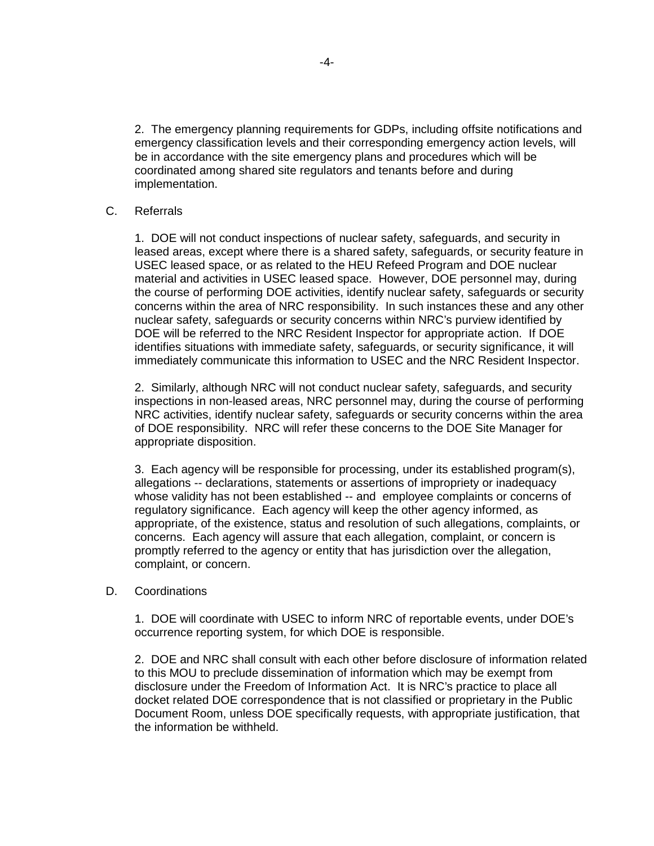2. The emergency planning requirements for GDPs, including offsite notifications and emergency classification levels and their corresponding emergency action levels, will be in accordance with the site emergency plans and procedures which will be coordinated among shared site regulators and tenants before and during implementation.

#### C. Referrals

1. DOE will not conduct inspections of nuclear safety, safeguards, and security in leased areas, except where there is a shared safety, safeguards, or security feature in USEC leased space, or as related to the HEU Refeed Program and DOE nuclear material and activities in USEC leased space. However, DOE personnel may, during the course of performing DOE activities, identify nuclear safety, safeguards or security concerns within the area of NRC responsibility. In such instances these and any other nuclear safety, safeguards or security concerns within NRC's purview identified by DOE will be referred to the NRC Resident Inspector for appropriate action. If DOE identifies situations with immediate safety, safeguards, or security significance, it will immediately communicate this information to USEC and the NRC Resident Inspector.

2. Similarly, although NRC will not conduct nuclear safety, safeguards, and security inspections in non-leased areas, NRC personnel may, during the course of performing NRC activities, identify nuclear safety, safeguards or security concerns within the area of DOE responsibility. NRC will refer these concerns to the DOE Site Manager for appropriate disposition.

3. Each agency will be responsible for processing, under its established program(s), allegations -- declarations, statements or assertions of impropriety or inadequacy whose validity has not been established -- and employee complaints or concerns of regulatory significance. Each agency will keep the other agency informed, as appropriate, of the existence, status and resolution of such allegations, complaints, or concerns. Each agency will assure that each allegation, complaint, or concern is promptly referred to the agency or entity that has jurisdiction over the allegation, complaint, or concern.

#### D. Coordinations

1. DOE will coordinate with USEC to inform NRC of reportable events, under DOE's occurrence reporting system, for which DOE is responsible.

2. DOE and NRC shall consult with each other before disclosure of information related to this MOU to preclude dissemination of information which may be exempt from disclosure under the Freedom of Information Act. It is NRC's practice to place all docket related DOE correspondence that is not classified or proprietary in the Public Document Room, unless DOE specifically requests, with appropriate justification, that the information be withheld.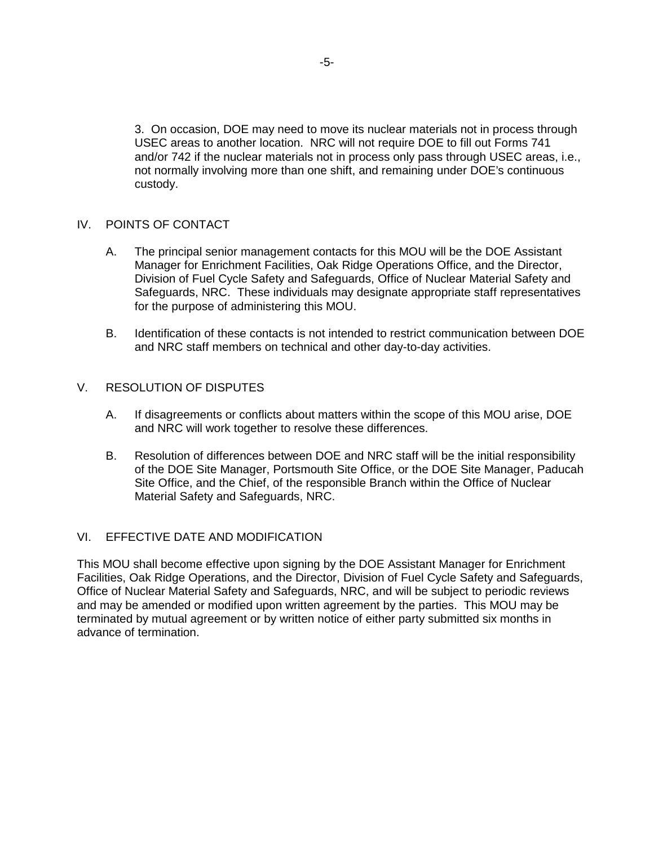3. On occasion, DOE may need to move its nuclear materials not in process through USEC areas to another location. NRC will not require DOE to fill out Forms 741 and/or 742 if the nuclear materials not in process only pass through USEC areas, i.e., not normally involving more than one shift, and remaining under DOE's continuous custody.

#### IV. POINTS OF CONTACT

- A. The principal senior management contacts for this MOU will be the DOE Assistant Manager for Enrichment Facilities, Oak Ridge Operations Office, and the Director, Division of Fuel Cycle Safety and Safeguards, Office of Nuclear Material Safety and Safeguards, NRC. These individuals may designate appropriate staff representatives for the purpose of administering this MOU.
- B. Identification of these contacts is not intended to restrict communication between DOE and NRC staff members on technical and other day-to-day activities.

#### V. RESOLUTION OF DISPUTES

- A. If disagreements or conflicts about matters within the scope of this MOU arise, DOE and NRC will work together to resolve these differences.
- B. Resolution of differences between DOE and NRC staff will be the initial responsibility of the DOE Site Manager, Portsmouth Site Office, or the DOE Site Manager, Paducah Site Office, and the Chief, of the responsible Branch within the Office of Nuclear Material Safety and Safeguards, NRC.

## VI. EFFECTIVE DATE AND MODIFICATION

This MOU shall become effective upon signing by the DOE Assistant Manager for Enrichment Facilities, Oak Ridge Operations, and the Director, Division of Fuel Cycle Safety and Safeguards, Office of Nuclear Material Safety and Safeguards, NRC, and will be subject to periodic reviews and may be amended or modified upon written agreement by the parties. This MOU may be terminated by mutual agreement or by written notice of either party submitted six months in advance of termination.